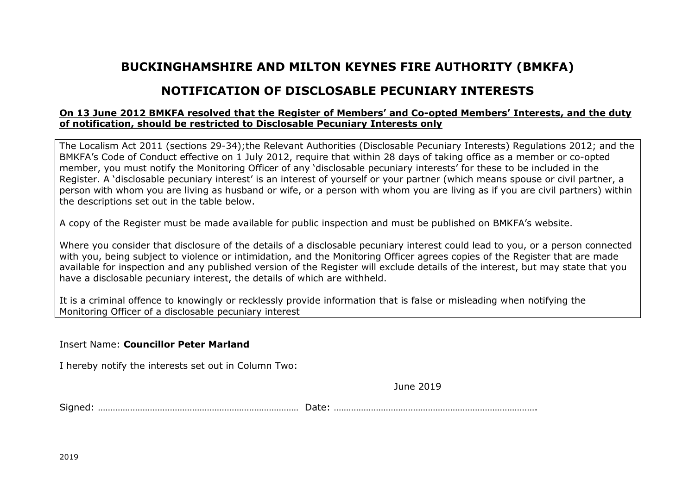## **BUCKINGHAMSHIRE AND MILTON KEYNES FIRE AUTHORITY (BMKFA)**

## **NOTIFICATION OF DISCLOSABLE PECUNIARY INTERESTS**

## **On 13 June 2012 BMKFA resolved that the Register of Members' and Co-opted Members' Interests, and the duty of notification, should be restricted to Disclosable Pecuniary Interests only**

The Localism Act 2011 (sections 29-34);the Relevant Authorities (Disclosable Pecuniary Interests) Regulations 2012; and the BMKFA's Code of Conduct effective on 1 July 2012, require that within 28 days of taking office as a member or co-opted member, you must notify the Monitoring Officer of any 'disclosable pecuniary interests' for these to be included in the Register. A 'disclosable pecuniary interest' is an interest of yourself or your partner (which means spouse or civil partner, a person with whom you are living as husband or wife, or a person with whom you are living as if you are civil partners) within the descriptions set out in the table below.

A copy of the Register must be made available for public inspection and must be published on BMKFA's website.

Where you consider that disclosure of the details of a disclosable pecuniary interest could lead to you, or a person connected with you, being subject to violence or intimidation, and the Monitoring Officer agrees copies of the Register that are made available for inspection and any published version of the Register will exclude details of the interest, but may state that you have a disclosable pecuniary interest, the details of which are withheld.

It is a criminal offence to knowingly or recklessly provide information that is false or misleading when notifying the Monitoring Officer of a disclosable pecuniary interest

Insert Name: **Councillor Peter Marland**

I hereby notify the interests set out in Column Two:

June 2019

Signed: ……………………………………………………………………… Date: ……………………………………………………………………….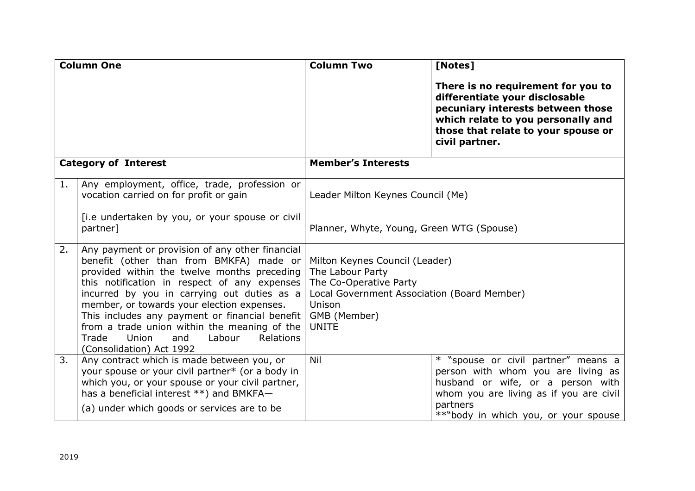| <b>Column One</b>           |                                                                                                                                                                                                                                                                                                                                                                                                                                                                      | <b>Column Two</b>                                                                                                                                                     | [Notes]                                                                                                                                                                                                       |
|-----------------------------|----------------------------------------------------------------------------------------------------------------------------------------------------------------------------------------------------------------------------------------------------------------------------------------------------------------------------------------------------------------------------------------------------------------------------------------------------------------------|-----------------------------------------------------------------------------------------------------------------------------------------------------------------------|---------------------------------------------------------------------------------------------------------------------------------------------------------------------------------------------------------------|
|                             |                                                                                                                                                                                                                                                                                                                                                                                                                                                                      |                                                                                                                                                                       | There is no requirement for you to<br>differentiate your disclosable<br>pecuniary interests between those<br>which relate to you personally and<br>those that relate to your spouse or<br>civil partner.      |
| <b>Category of Interest</b> |                                                                                                                                                                                                                                                                                                                                                                                                                                                                      | <b>Member's Interests</b>                                                                                                                                             |                                                                                                                                                                                                               |
| 1.                          | Any employment, office, trade, profession or<br>vocation carried on for profit or gain                                                                                                                                                                                                                                                                                                                                                                               | Leader Milton Keynes Council (Me)                                                                                                                                     |                                                                                                                                                                                                               |
|                             | [i.e undertaken by you, or your spouse or civil<br>partner]                                                                                                                                                                                                                                                                                                                                                                                                          | Planner, Whyte, Young, Green WTG (Spouse)                                                                                                                             |                                                                                                                                                                                                               |
| 2.                          | Any payment or provision of any other financial<br>benefit (other than from BMKFA) made or<br>provided within the twelve months preceding<br>this notification in respect of any expenses<br>incurred by you in carrying out duties as a<br>member, or towards your election expenses.<br>This includes any payment or financial benefit<br>from a trade union within the meaning of the<br>Trade<br>Union<br>Labour<br>Relations<br>and<br>(Consolidation) Act 1992 | Milton Keynes Council (Leader)<br>The Labour Party<br>The Co-Operative Party<br>Local Government Association (Board Member)<br>Unison<br>GMB (Member)<br><b>UNITE</b> |                                                                                                                                                                                                               |
| 3.                          | Any contract which is made between you, or<br>your spouse or your civil partner* (or a body in<br>which you, or your spouse or your civil partner,<br>has a beneficial interest **) and BMKFA-<br>(a) under which goods or services are to be                                                                                                                                                                                                                        | Nil                                                                                                                                                                   | * "spouse or civil partner" means a<br>person with whom you are living as<br>husband or wife, or a person with<br>whom you are living as if you are civil<br>partners<br>**"body in which you, or your spouse |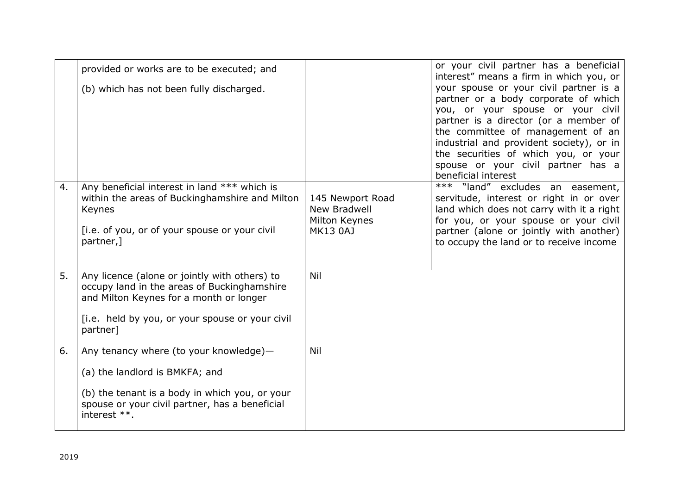|    | provided or works are to be executed; and                                                                                                                                                              |                                                                      | or your civil partner has a beneficial<br>interest" means a firm in which you, or                                                                                                                                                                                                                                                                  |
|----|--------------------------------------------------------------------------------------------------------------------------------------------------------------------------------------------------------|----------------------------------------------------------------------|----------------------------------------------------------------------------------------------------------------------------------------------------------------------------------------------------------------------------------------------------------------------------------------------------------------------------------------------------|
|    | (b) which has not been fully discharged.                                                                                                                                                               |                                                                      | your spouse or your civil partner is a<br>partner or a body corporate of which<br>you, or your spouse or your civil<br>partner is a director (or a member of<br>the committee of management of an<br>industrial and provident society), or in<br>the securities of which you, or your<br>spouse or your civil partner has a<br>beneficial interest |
| 4. | Any beneficial interest in land *** which is<br>within the areas of Buckinghamshire and Milton<br>Keynes<br>[i.e. of you, or of your spouse or your civil<br>partner,]                                 | 145 Newport Road<br>New Bradwell<br>Milton Keynes<br><b>MK13 0AJ</b> | $***$ "land" excludes an easement,<br>servitude, interest or right in or over<br>land which does not carry with it a right<br>for you, or your spouse or your civil<br>partner (alone or jointly with another)<br>to occupy the land or to receive income                                                                                          |
| 5. | Any licence (alone or jointly with others) to<br>occupy land in the areas of Buckinghamshire<br>and Milton Keynes for a month or longer<br>[i.e. held by you, or your spouse or your civil<br>partner] | Nil                                                                  |                                                                                                                                                                                                                                                                                                                                                    |
| 6. | Any tenancy where (to your knowledge)-<br>(a) the landlord is BMKFA; and<br>(b) the tenant is a body in which you, or your<br>spouse or your civil partner, has a beneficial                           | Nil                                                                  |                                                                                                                                                                                                                                                                                                                                                    |
|    | interest **.                                                                                                                                                                                           |                                                                      |                                                                                                                                                                                                                                                                                                                                                    |